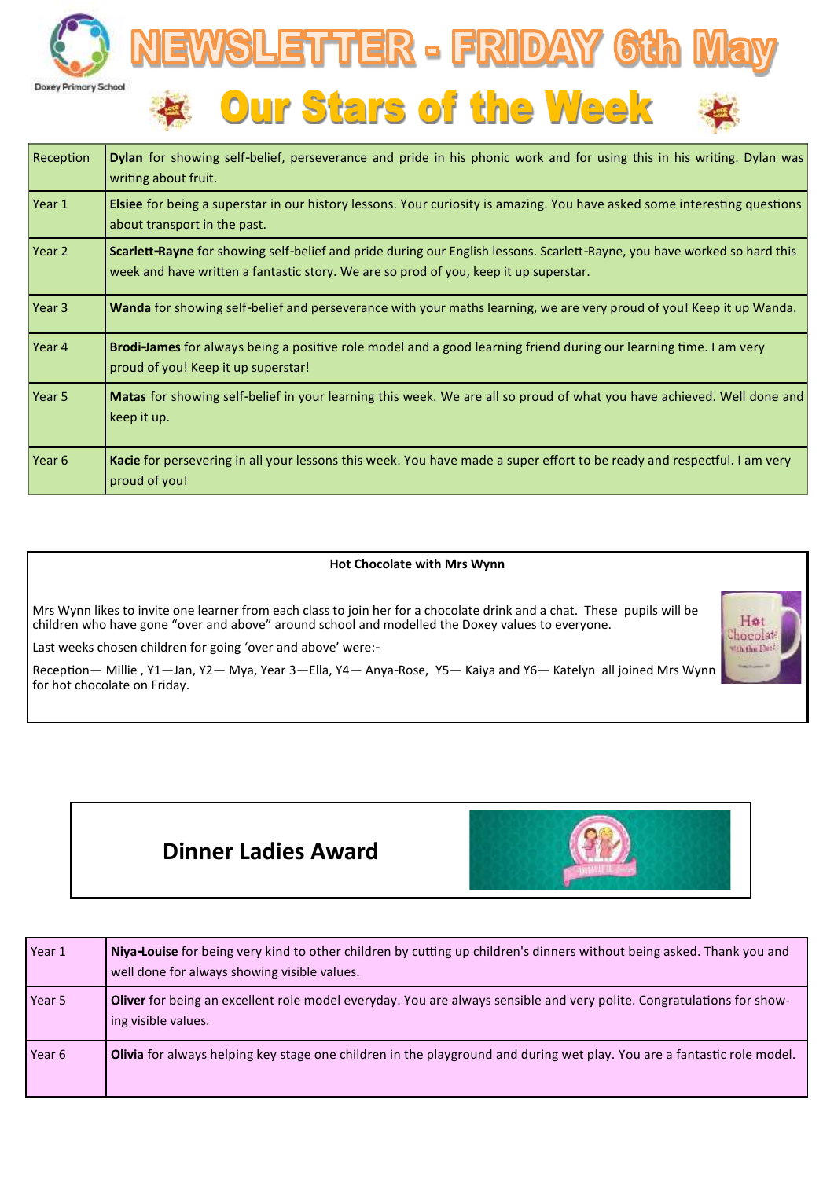



| Reception | <b>Dylan</b> for showing self-belief, perseverance and pride in his phonic work and for using this in his writing. Dylan was<br>writing about fruit.                                                               |
|-----------|--------------------------------------------------------------------------------------------------------------------------------------------------------------------------------------------------------------------|
| Year 1    | <b>Elsiee</b> for being a superstar in our history lessons. Your curiosity is amazing. You have asked some interesting questions<br>about transport in the past.                                                   |
| Year 2    | Scarlett-Rayne for showing self-belief and pride during our English lessons. Scarlett-Rayne, you have worked so hard this<br>week and have written a fantastic story. We are so prod of you, keep it up superstar. |
| Year 3    | Wanda for showing self-belief and perseverance with your maths learning, we are very proud of you! Keep it up Wanda.                                                                                               |
| Year 4    | Brodi-James for always being a positive role model and a good learning friend during our learning time. I am very<br>proud of you! Keep it up superstar!                                                           |
| Year 5    | <b>Matas</b> for showing self-belief in your learning this week. We are all so proud of what you have achieved. Well done and<br>keep it up.                                                                       |
| Year 6    | Kacie for persevering in all your lessons this week. You have made a super effort to be ready and respectful. I am very<br>proud of you!                                                                           |

#### **Hot Chocolate with Mrs Wynn**

Mrs Wynn likes to invite one learner from each class to join her for a chocolate drink and a chat. These pupils will be children who have gone "over and above" around school and modelled the Doxey values to everyone.

Last weeks chosen children for going 'over and above' were:-

Reception— Millie , Y1—Jan, Y2— Mya, Year 3—Ella, Y4— Anya-Rose, Y5— Kaiya and Y6— Katelyn all joined Mrs Wynn for hot chocolate on Friday.



# **Dinner Ladies Award**



| Year 1 | Niya-Louise for being very kind to other children by cutting up children's dinners without being asked. Thank you and<br>well done for always showing visible values. |
|--------|-----------------------------------------------------------------------------------------------------------------------------------------------------------------------|
| Year 5 | Oliver for being an excellent role model everyday. You are always sensible and very polite. Congratulations for show-<br>ing visible values.                          |
| Year 6 | <b>Olivia</b> for always helping key stage one children in the playground and during wet play. You are a fantastic role model.                                        |